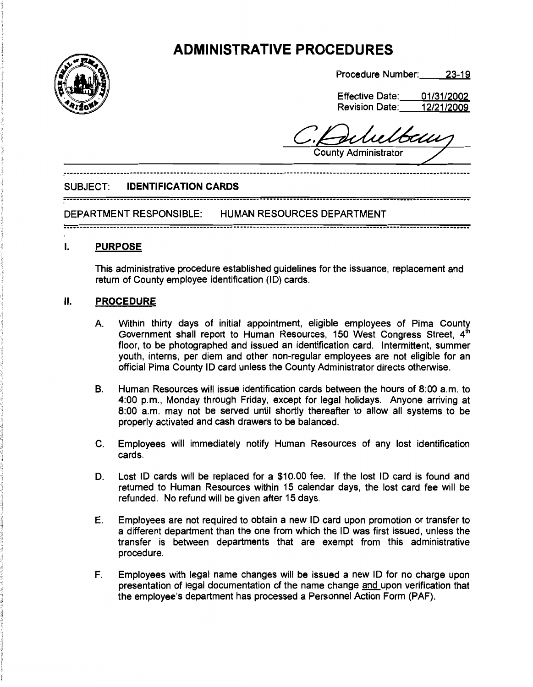# **ADMINISTRATIVE PROCEDURES**



Procedure Number: 23-19

| <b>Effective Date:</b> | 01/31/2002 |
|------------------------|------------|
| <b>Revision Date:</b>  | 12/21/2009 |

delutbem **County Administrator** 

### SUBJECT: **IDENTIFICATION CARDS**

## 

DEPARTMENT RESPONSIBLE: HUMAN RESOURCES DEPARTMENT

## I. **PURPOSE**

This administrative procedure established guidelines for the issuance, replacement and return of County employee identification (lD) cards.

## II. **PROCEDURE**

- A. Within thirty days of initial appointment, eligible employees of Pima County Government shall report to Human Resources, 150 West Congress Street, 4 floor, to be photographed and issued an identification card. Intermittent, summer youth, interns, per diem and other non-regular employees are not eligible for an official Pima County ID card unless the County Administrator directs otherwise.
- B. Human Resources will issue identification cards between the hours of 8:00 a.m. to 4:00 p.m., Monday through Friday, except for legal holidays. Anyone arriving at 8:00 a.m. may not be served until shortly thereafter to allow all systems to be properly activated and cash drawers to be balanced.
- C. Employees will immediately notify Human Resources of any lost identification cards.
- D. Lost ID cards will be replaced for a \$10.00 fee. If the lost ID card is found and returned to Human Resources within 15 calendar days, the lost card fee will be refunded. No refund will be given after 15 days.
- E. Employees are not required to obtain a new ID card upon promotion or transfer to a different department than the one from which the ID was first issued, unless the transfer is between departments that are exempt from this administrative procedure.
- F. Employees with legal name changes will be issued a new ID for no charge upon presentation of legal documentation of the name change and upon verification that the employee's department has processed a Personnel Action Form (PAF).